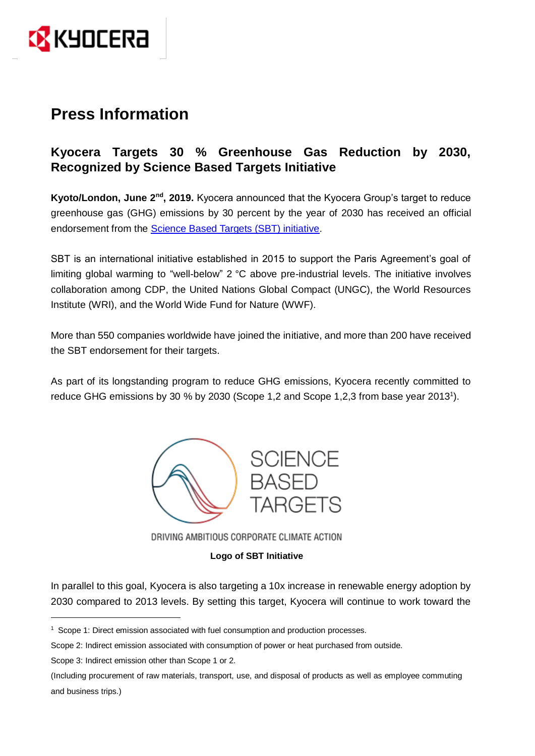

# **Press Information**

## **Kyocera Targets 30 % Greenhouse Gas Reduction by 2030, Recognized by Science Based Targets Initiative**

Kyoto/London, June 2<sup>nd</sup>, 2019. Kyocera announced that the Kyocera Group's target to reduce greenhouse gas (GHG) emissions by 30 percent by the year of 2030 has received an official endorsement from the [Science Based Targets \(SBT\) initiative.](https://sciencebasedtargets.org/)

SBT is an international initiative established in 2015 to support the Paris Agreement's goal of limiting global warming to "well-below" 2 °C above pre-industrial levels. The initiative involves collaboration among CDP, the United Nations Global Compact (UNGC), the World Resources Institute (WRI), and the World Wide Fund for Nature (WWF).

More than 550 companies worldwide have joined the initiative, and more than 200 have received the SBT endorsement for their targets.

As part of its longstanding program to reduce GHG emissions, Kyocera recently committed to reduce GHG emissions by 30 % by 2030 (Scope 1,2 and Scope 1,2,3 from base year 2013<sup>1</sup>).



DRIVING AMBITIOUS CORPORATE CLIMATE ACTION

## **Logo of SBT Initiative**

In parallel to this goal, Kyocera is also targeting a 10x increase in renewable energy adoption by 2030 compared to 2013 levels. By setting this target, Kyocera will continue to work toward the

Scope 3: Indirect emission other than Scope 1 or 2.

<u>.</u>

<sup>&</sup>lt;sup>1</sup> Scope 1: Direct emission associated with fuel consumption and production processes.

Scope 2: Indirect emission associated with consumption of power or heat purchased from outside.

<sup>(</sup>Including procurement of raw materials, transport, use, and disposal of products as well as employee commuting and business trips.)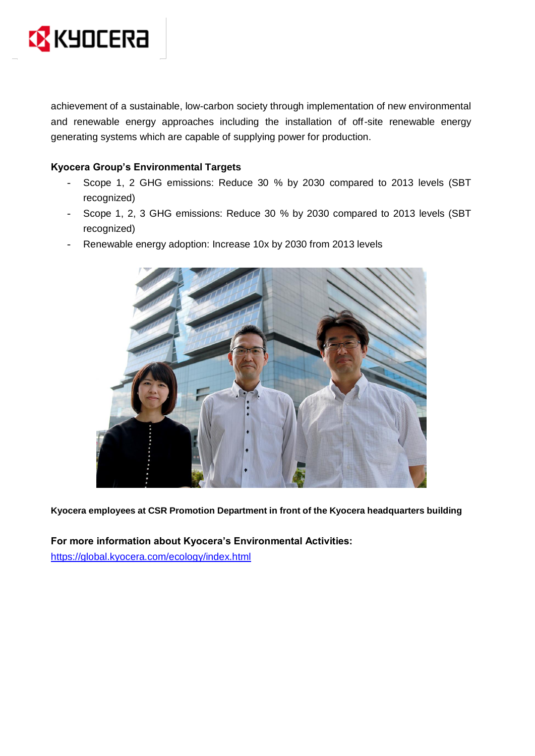

achievement of a sustainable, low-carbon society through implementation of new environmental and renewable energy approaches including the installation of off-site renewable energy generating systems which are capable of supplying power for production.

## **Kyocera Group's Environmental Targets**

- Scope 1, 2 GHG emissions: Reduce 30 % by 2030 compared to 2013 levels (SBT recognized)
- Scope 1, 2, 3 GHG emissions: Reduce 30 % by 2030 compared to 2013 levels (SBT recognized)
- Renewable energy adoption: Increase 10x by 2030 from 2013 levels



**Kyocera employees at CSR Promotion Department in front of the Kyocera headquarters building**

**For more information about Kyocera's Environmental Activities:**  <https://global.kyocera.com/ecology/index.html>